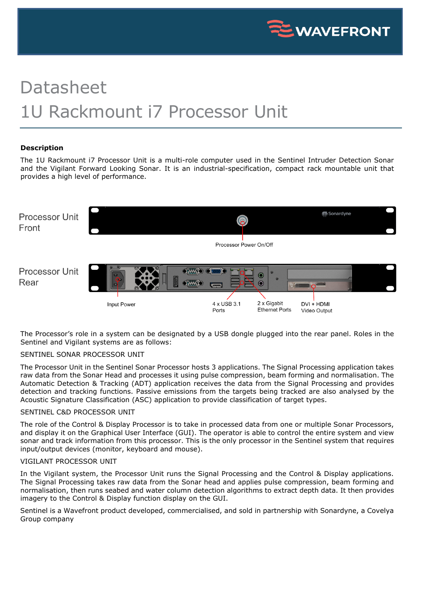

# Datasheet 1U Rackmount i7 Processor Unit

## **Description**

The 1U Rackmount i7 Processor Unit is a multi-role computer used in the Sentinel Intruder Detection Sonar and the Vigilant Forward Looking Sonar. It is an industrial-specification, compact rack mountable unit that provides a high level of performance.



The Processor's role in a system can be designated by a USB dongle plugged into the rear panel. Roles in the Sentinel and Vigilant systems are as follows:

### SENTINEL SONAR PROCESSOR UNIT

The Processor Unit in the Sentinel Sonar Processor hosts 3 applications. The Signal Processing application takes raw data from the Sonar Head and processes it using pulse compression, beam forming and normalisation. The Automatic Detection & Tracking (ADT) application receives the data from the Signal Processing and provides detection and tracking functions. Passive emissions from the targets being tracked are also analysed by the Acoustic Signature Classification (ASC) application to provide classification of target types.

#### SENTINEL C&D PROCESSOR UNIT

The role of the Control & Display Processor is to take in processed data from one or multiple Sonar Processors, and display it on the Graphical User Interface (GUI). The operator is able to control the entire system and view sonar and track information from this processor. This is the only processor in the Sentinel system that requires input/output devices (monitor, keyboard and mouse).

# VIGILANT PROCESSOR UNIT

In the Vigilant system, the Processor Unit runs the Signal Processing and the Control & Display applications. The Signal Processing takes raw data from the Sonar head and applies pulse compression, beam forming and normalisation, then runs seabed and water column detection algorithms to extract depth data. It then provides imagery to the Control & Display function display on the GUI.

Sentinel is a Wavefront product developed, commercialised, and sold in partnership with Sonardyne, a Covelya Group company